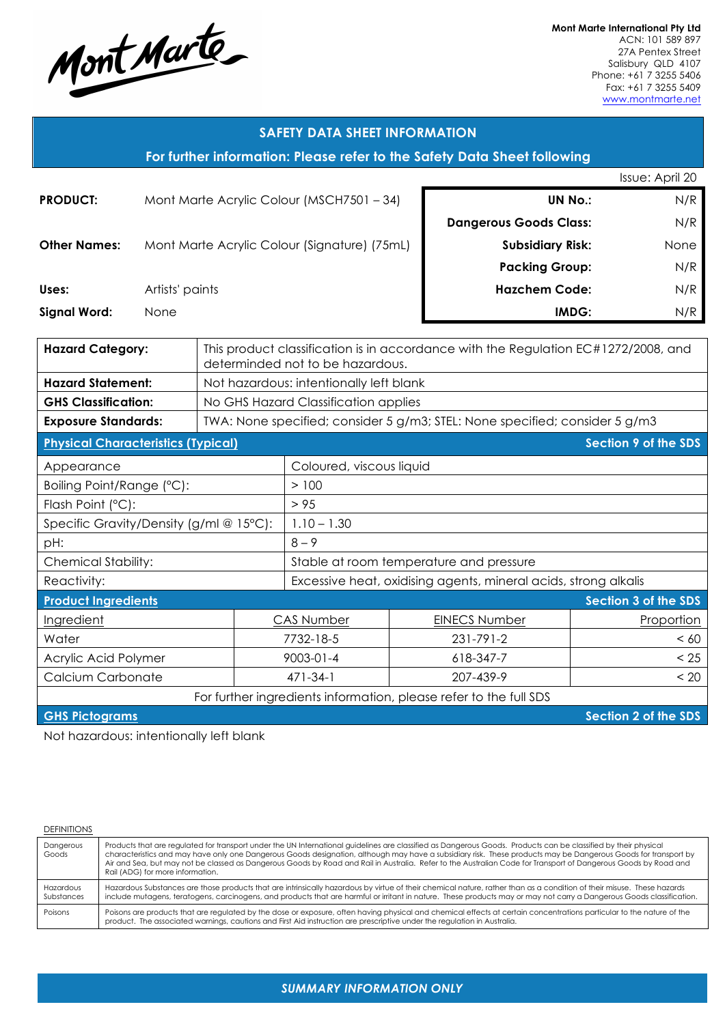

**Mont Marte International Pty Ltd** ACN: 101 589 897 27A Pentex Street Salisbury QLD 4107 Phone: +61 7 3255 5406 Fax: +61 7 3255 5409 www.montmarte.net

| <b>SAFETY DATA SHEET INFORMATION</b>                                     |                                              |                                         |                                                                                                                        |                                                                             |            |                               |                             |  |
|--------------------------------------------------------------------------|----------------------------------------------|-----------------------------------------|------------------------------------------------------------------------------------------------------------------------|-----------------------------------------------------------------------------|------------|-------------------------------|-----------------------------|--|
| For further information: Please refer to the Safety Data Sheet following |                                              |                                         |                                                                                                                        |                                                                             |            |                               |                             |  |
|                                                                          | Issue: April 20                              |                                         |                                                                                                                        |                                                                             |            |                               |                             |  |
| Mont Marte Acrylic Colour (MSCH7501 - 34)<br><b>PRODUCT:</b>             |                                              |                                         |                                                                                                                        |                                                                             |            | N/R<br><b>UN No.:</b>         |                             |  |
|                                                                          |                                              |                                         |                                                                                                                        |                                                                             |            | <b>Dangerous Goods Class:</b> | N/R                         |  |
| <b>Other Names:</b>                                                      | Mont Marte Acrylic Colour (Signature) (75mL) |                                         |                                                                                                                        |                                                                             |            | <b>Subsidiary Risk:</b>       | None                        |  |
|                                                                          |                                              |                                         |                                                                                                                        |                                                                             |            | <b>Packing Group:</b>         | N/R                         |  |
| Uses:                                                                    | Artists' paints                              |                                         |                                                                                                                        | <b>Hazchem Code:</b>                                                        |            | N/R                           |                             |  |
| <b>Signal Word:</b>                                                      | None                                         |                                         |                                                                                                                        |                                                                             |            |                               | IMDG:<br>N/R                |  |
|                                                                          |                                              |                                         |                                                                                                                        |                                                                             |            |                               |                             |  |
| <b>Hazard Category:</b>                                                  |                                              |                                         | This product classification is in accordance with the Regulation EC#1272/2008, and<br>determinded not to be hazardous. |                                                                             |            |                               |                             |  |
| <b>Hazard Statement:</b>                                                 |                                              | Not hazardous: intentionally left blank |                                                                                                                        |                                                                             |            |                               |                             |  |
| <b>GHS Classification:</b>                                               |                                              | No GHS Hazard Classification applies    |                                                                                                                        |                                                                             |            |                               |                             |  |
| <b>Exposure Standards:</b>                                               |                                              |                                         |                                                                                                                        | TWA: None specified; consider 5 g/m3; STEL: None specified; consider 5 g/m3 |            |                               |                             |  |
| <b>Physical Characteristics (Typical)</b>                                |                                              |                                         |                                                                                                                        |                                                                             |            |                               | <b>Section 9 of the SDS</b> |  |
| Appearance                                                               |                                              |                                         |                                                                                                                        | Coloured, viscous liquid                                                    |            |                               |                             |  |
| Boiling Point/Range (°C):                                                |                                              |                                         |                                                                                                                        | >100                                                                        |            |                               |                             |  |
| Flash Point (°C):                                                        |                                              |                                         |                                                                                                                        | > 95                                                                        |            |                               |                             |  |
| Specific Gravity/Density (g/ml @ 15°C):                                  |                                              |                                         |                                                                                                                        | $1.10 - 1.30$                                                               |            |                               |                             |  |
| pH:                                                                      |                                              |                                         | $8 - 9$                                                                                                                |                                                                             |            |                               |                             |  |
| <b>Chemical Stability:</b>                                               |                                              |                                         | Stable at room temperature and pressure                                                                                |                                                                             |            |                               |                             |  |
| Reactivity:                                                              |                                              |                                         | Excessive heat, oxidising agents, mineral acids, strong alkalis                                                        |                                                                             |            |                               |                             |  |
| <b>Product Ingredients</b><br>Section 3 of the SDS                       |                                              |                                         |                                                                                                                        |                                                                             |            |                               |                             |  |
| Ingredient                                                               |                                              | <b>CAS Number</b>                       |                                                                                                                        | <b>EINECS Number</b>                                                        | Proportion |                               |                             |  |
| Water                                                                    |                                              |                                         |                                                                                                                        | 7732-18-5                                                                   |            | 231-791-2                     | < 60                        |  |
| Acrylic Acid Polymer                                                     |                                              |                                         | $9003 - 01 - 4$<br>618-347-7                                                                                           |                                                                             | < 25       |                               |                             |  |
| Calcium Carbonate                                                        |                                              |                                         |                                                                                                                        | 471-34-1                                                                    |            | 207-439-9                     | < 20                        |  |

For further ingredients information, please refer to the full SDS

**GHS Pictograms Section 2 of the SDS** 

Not hazardous: intentionally left blank

#### DEFINITIONS

| Dangerous<br>Goods      | Products that are regulated for transport under the UN International guidelines are classified as Dangerous Goods. Products can be classified by their physical<br>characteristics and may have only one Dangerous Goods designation, although may have a subsidiary risk. These products may be Dangerous Goods for transport by<br>Air and Sea, but may not be classed as Dangerous Goods by Road and Rail in Australia. Refer to the Australian Code for Transport of Dangerous Goods by Road and<br>Rail (ADG) for more information. |
|-------------------------|------------------------------------------------------------------------------------------------------------------------------------------------------------------------------------------------------------------------------------------------------------------------------------------------------------------------------------------------------------------------------------------------------------------------------------------------------------------------------------------------------------------------------------------|
| Hazardous<br>Substances | Hazardous Substances are those products that are intrinsically hazardous by virtue of their chemical nature, rather than as a condition of their misuse. These hazards<br>include mutagens, teratogens, carcinogens, and products that are harmful or irritant in nature. These products may or may not carry a Dangerous Goods classification.                                                                                                                                                                                          |
| Poisons                 | Poisons are products that are regulated by the dose or exposure, often having physical and chemical effects at certain concentrations particular to the nature of the<br>product. The associated warnings, cautions and First Aid instruction are prescriptive under the regulation in Australia.                                                                                                                                                                                                                                        |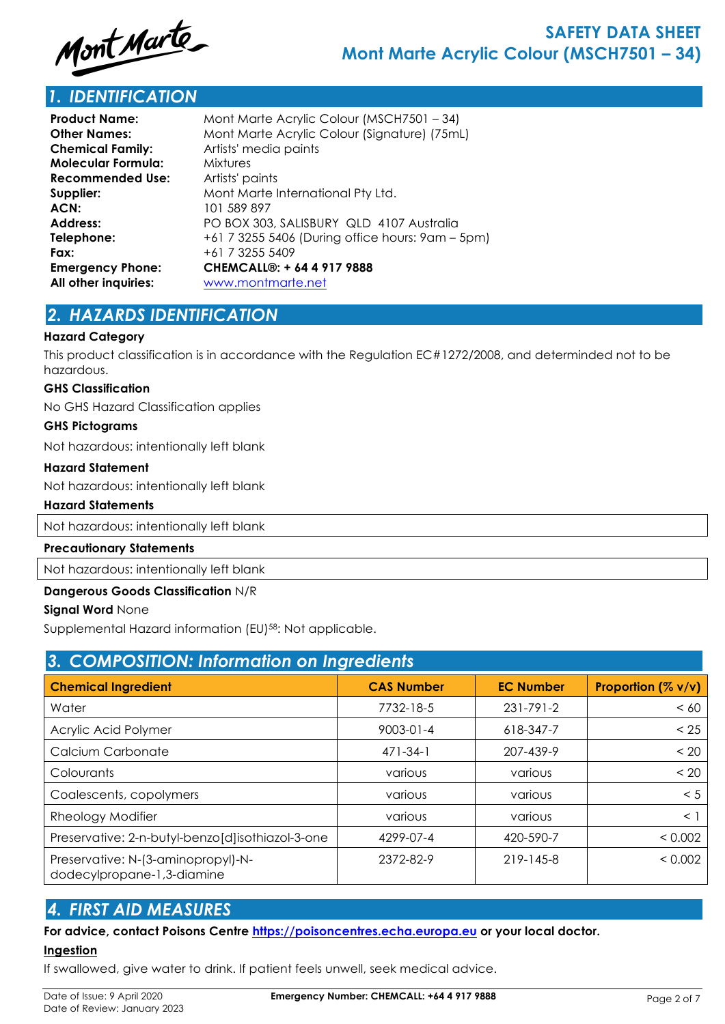

# *1. IDENTIFICATION*

| <b>Product Name:</b>    | Mont Marte Acrylic Colour (MSCH7501 - 34)        |
|-------------------------|--------------------------------------------------|
| <b>Other Names:</b>     | Mont Marte Acrylic Colour (Signature) (75mL)     |
| <b>Chemical Family:</b> | Artists' media paints                            |
| Molecular Formula:      | Mixtures                                         |
| <b>Recommended Use:</b> | Artists' paints                                  |
| Supplier:               | Mont Marte International Pty Ltd.                |
| ACN:                    | 101 589 897                                      |
| <b>Address:</b>         | PO BOX 303, SALISBURY QLD 4107 Australia         |
| Telephone:              | +61 7 3255 5406 (During office hours: 9am – 5pm) |
| Fax:                    | +61 7 3255 5409                                  |
| <b>Emergency Phone:</b> | CHEMCALL®: + 64 4 917 9888                       |
| All other inquiries:    | www.montmarte.net                                |

# *2. HAZARDS IDENTIFICATION*

### **Hazard Category**

This product classification is in accordance with the Regulation EC#1272/2008, and determinded not to be hazardous.

### **GHS Classification**

No GHS Hazard Classification applies

#### **GHS Pictograms**

Not hazardous: intentionally left blank

#### **Hazard Statement**

Not hazardous: intentionally left blank

### **Hazard Statements**

Not hazardous: intentionally left blank

### **Precautionary Statements**

Not hazardous: intentionally left blank

## **Dangerous Goods Classification** N/R

### **Signal Word** None

Supplemental Hazard information (EU)58: Not applicable.

| 3. COMPOSITION: Information on Ingredients                       |                   |                  |                    |  |  |
|------------------------------------------------------------------|-------------------|------------------|--------------------|--|--|
| <b>Chemical Ingredient</b>                                       | <b>CAS Number</b> | <b>EC Number</b> | Proportion (% v/v) |  |  |
| Water                                                            | 7732-18-5         | $231 - 791 - 2$  | < 60               |  |  |
| Acrylic Acid Polymer                                             | $9003 - 01 - 4$   | 618-347-7        | < 25               |  |  |
| Calcium Carbonate                                                | $471 - 34 - 1$    | 207-439-9        | < 20               |  |  |
| Colourants                                                       | various           | various          | < 20               |  |  |
| Coalescents, copolymers                                          | various           | various          | < 5                |  |  |
| Rheology Modifier                                                | various           | various          | $\leq$ 1           |  |  |
| Preservative: 2-n-butyl-benzo[d]isothiazol-3-one                 | 4299-07-4         | 420-590-7        | < 0.002            |  |  |
| Preservative: N-(3-aminopropyl)-N-<br>dodecylpropane-1,3-diamine | 2372-82-9         | 219-145-8        | < 0.002            |  |  |

# *4. FIRST AID MEASURES*

## **For advice, contact Poisons Centre https://poisoncentres.echa.europa.eu or your local doctor.**

### **Ingestion**

If swallowed, give water to drink. If patient feels unwell, seek medical advice.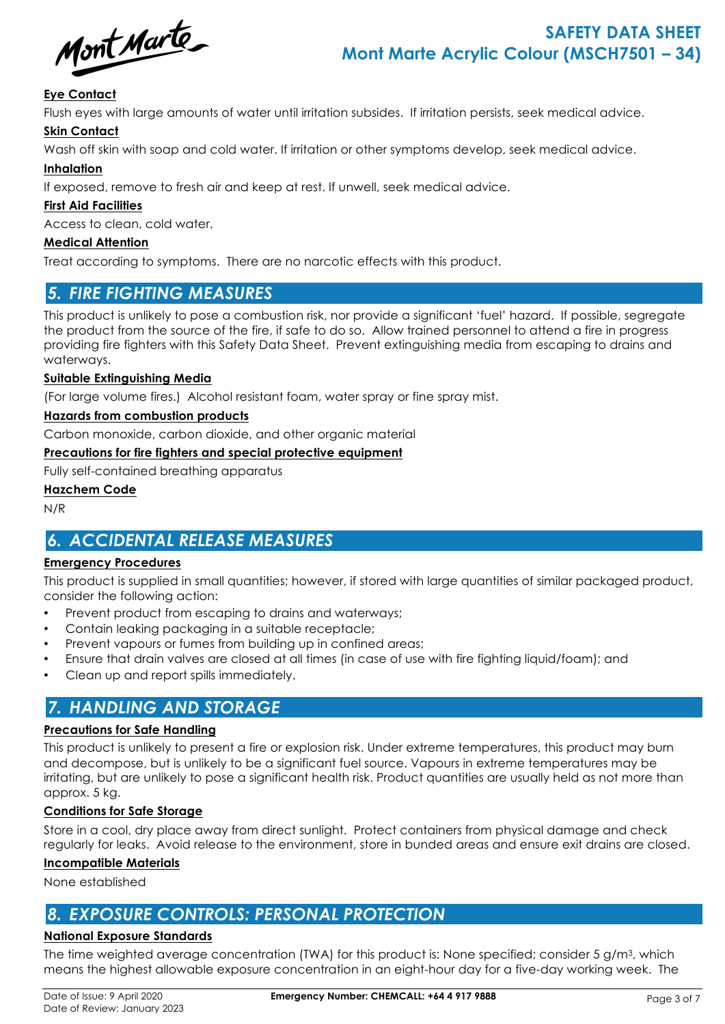Mont Marte

# **SAFETY DATA SHEET Mont Marte Acrylic Colour (MSCH7501 – 34)**

## **Eye Contact**

Flush eyes with large amounts of water until irritation subsides. If irritation persists, seek medical advice.

## **Skin Contact**

Wash off skin with soap and cold water. If irritation or other symptoms develop, seek medical advice.

### **Inhalation**

If exposed, remove to fresh air and keep at rest. If unwell, seek medical advice.

### **First Aid Facilities**

Access to clean, cold water.

### **Medical Attention**

Treat according to symptoms. There are no narcotic effects with this product.

# *5. FIRE FIGHTING MEASURES*

This product is unlikely to pose a combustion risk, nor provide a significant 'fuel' hazard. If possible, segregate the product from the source of the fire, if safe to do so. Allow trained personnel to attend a fire in progress providing fire fighters with this Safety Data Sheet. Prevent extinguishing media from escaping to drains and waterways.

### **Suitable Extinguishing Media**

(For large volume fires.) Alcohol resistant foam, water spray or fine spray mist.

### **Hazards from combustion products**

Carbon monoxide, carbon dioxide, and other organic material

### **Precautions for fire fighters and special protective equipment**

Fully self-contained breathing apparatus

### **Hazchem Code**

N/R

# *6. ACCIDENTAL RELEASE MEASURES*

### **Emergency Procedures**

This product is supplied in small quantities; however, if stored with large quantities of similar packaged product, consider the following action:

- Prevent product from escaping to drains and waterways;
- Contain leaking packaging in a suitable receptacle;
- Prevent vapours or fumes from building up in confined areas;
- Ensure that drain valves are closed at all times (in case of use with fire fighting liquid/foam); and
- Clean up and report spills immediately.

# *7. HANDLING AND STORAGE*

### **Precautions for Safe Handling**

This product is unlikely to present a fire or explosion risk. Under extreme temperatures, this product may burn and decompose, but is unlikely to be a significant fuel source. Vapours in extreme temperatures may be irritating, but are unlikely to pose a significant health risk. Product quantities are usually held as not more than approx. 5 kg.

### **Conditions for Safe Storage**

Store in a cool, dry place away from direct sunlight. Protect containers from physical damage and check regularly for leaks. Avoid release to the environment, store in bunded areas and ensure exit drains are closed.

### **Incompatible Materials**

None established

# *8. EXPOSURE CONTROLS: PERSONAL PROTECTION*

## **National Exposure Standards**

The time weighted average concentration (TWA) for this product is: None specified; consider 5 g/m3, which means the highest allowable exposure concentration in an eight-hour day for a five-day working week. The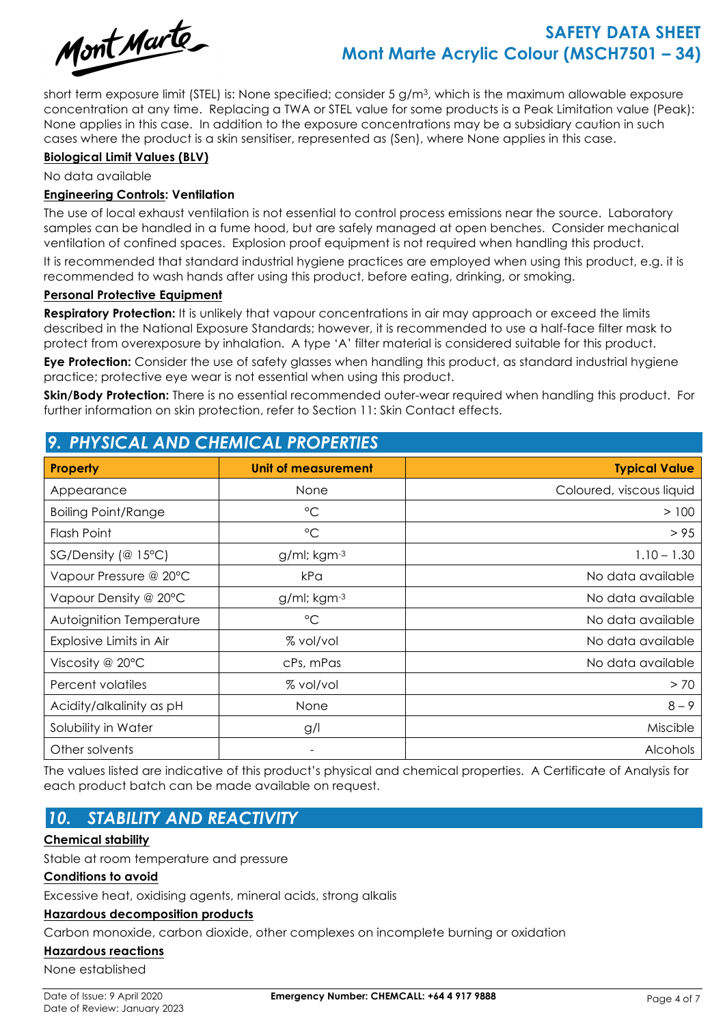

# **SAFETY DATA SHEET Mont Marte Acrylic Colour (MSCH7501 – 34)**

short term exposure limit (STEL) is: None specified; consider 5 g/m3, which is the maximum allowable exposure concentration at any time. Replacing a TWA or STEL value for some products is a Peak Limitation value (Peak): None applies in this case. In addition to the exposure concentrations may be a subsidiary caution in such cases where the product is a skin sensitiser, represented as (Sen), where None applies in this case.

### **Biological Limit Values (BLV)**

No data available

### **Engineering Controls: Ventilation**

The use of local exhaust ventilation is not essential to control process emissions near the source. Laboratory samples can be handled in a fume hood, but are safely managed at open benches. Consider mechanical ventilation of confined spaces. Explosion proof equipment is not required when handling this product.

It is recommended that standard industrial hygiene practices are employed when using this product, e.g. it is recommended to wash hands after using this product, before eating, drinking, or smoking.

### **Personal Protective Equipment**

**Respiratory Protection:** It is unlikely that vapour concentrations in air may approach or exceed the limits described in the National Exposure Standards; however, it is recommended to use a half-face filter mask to protect from overexposure by inhalation. A type 'A' filter material is considered suitable for this product.

**Eye Protection:** Consider the use of safety glasses when handling this product, as standard industrial hygiene practice; protective eye wear is not essential when using this product.

**Skin/Body Protection:** There is no essential recommended outer-wear required when handling this product. For further information on skin protection, refer to Section 11: Skin Contact effects.

# *9. PHYSICAL AND CHEMICAL PROPERTIES* **Property Unit of measurement Typical Value** Appearance **None Coloured, viscous liquid** None None None None Coloured, viscous liquid Boiling Point/Range  $\overline{C}$  example the state of  $\overline{C}$  and  $\overline{C}$  and  $\overline{C}$  and  $\overline{C}$  and  $\overline{C}$  and  $\overline{C}$  and  $\overline{C}$  and  $\overline{C}$  and  $\overline{C}$  and  $\overline{C}$  and  $\overline{C}$  and  $\overline{C}$  and  $\overline{C}$  and  $\over$ Flash Point °C > 95 SG/Density (@ 15°C) a/ml; kam<sup>-3</sup> 1.10 – 1.30 Vapour Pressure @ 20°C (a) No data available control to the Real Area No data available Vapour Density @ 20°C  $\qquad$  g/ml; kgm<sup>-3</sup> No data available Autoignition Temperature °C No data available Explosive Limits in Air  $\begin{array}{ccc} & 8 \ \text{vol/vol} & & \end{array}$  No data available Viscosity @ 20°C and All cPs, mPas No data available No data available Percent volatiles  $\sim$  70 Acidity/alkalinity as pH  $8-9$ Solubility in Water **and Colubility in Water** and Colubility in Water and Colubility in Water and Colubility in Miscible Other solvents and the contract of the contract of the contract of the contract of the contract of the contract of the contract of the contract of the contract of the contract of the contract of the contract of the contrac

The values listed are indicative of this product's physical and chemical properties. A Certificate of Analysis for each product batch can be made available on request.

# *10. STABILITY AND REACTIVITY*

### **Chemical stability**

Stable at room temperature and pressure

### **Conditions to avoid**

Excessive heat, oxidising agents, mineral acids, strong alkalis

### **Hazardous decomposition products**

Carbon monoxide, carbon dioxide, other complexes on incomplete burning or oxidation

### **Hazardous reactions**

None established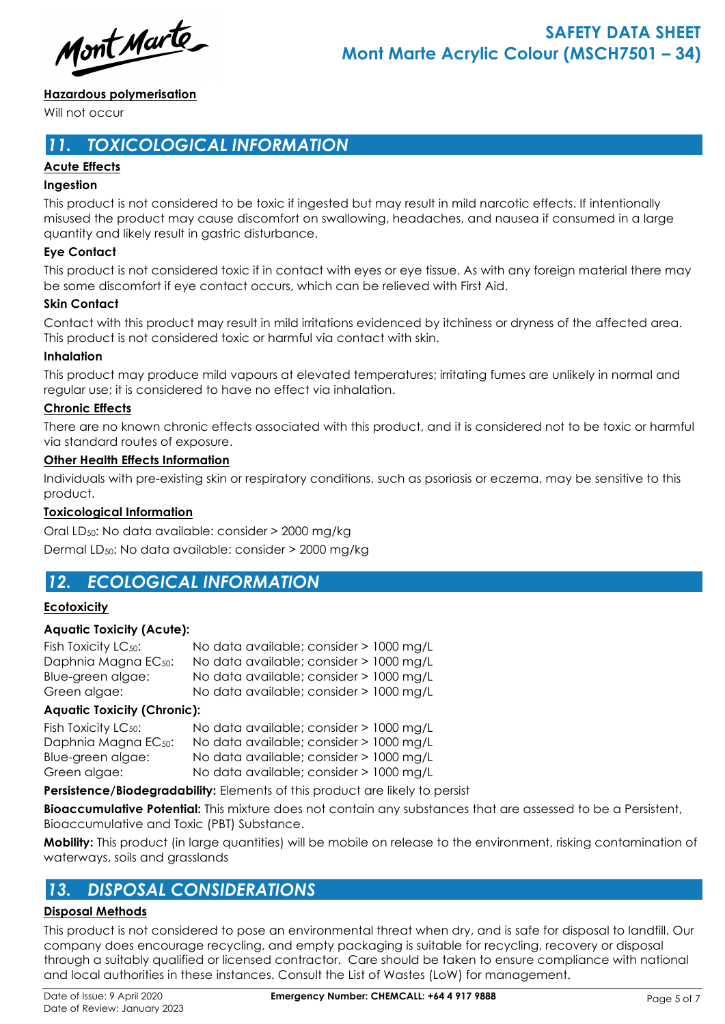Mont Marte

## **Hazardous polymerisation**

Will not occur

# *11. TOXICOLOGICAL INFORMATION*

## **Acute Effects**

### **Ingestion**

This product is not considered to be toxic if ingested but may result in mild narcotic effects. If intentionally misused the product may cause discomfort on swallowing, headaches, and nausea if consumed in a large quantity and likely result in gastric disturbance.

### **Eye Contact**

This product is not considered toxic if in contact with eyes or eye tissue. As with any foreign material there may be some discomfort if eye contact occurs, which can be relieved with First Aid.

### **Skin Contact**

Contact with this product may result in mild irritations evidenced by itchiness or dryness of the affected area. This product is not considered toxic or harmful via contact with skin.

### **Inhalation**

This product may produce mild vapours at elevated temperatures; irritating fumes are unlikely in normal and regular use; it is considered to have no effect via inhalation.

### **Chronic Effects**

There are no known chronic effects associated with this product, and it is considered not to be toxic or harmful via standard routes of exposure.

### **Other Health Effects Information**

Individuals with pre-existing skin or respiratory conditions, such as psoriasis or eczema, may be sensitive to this product.

### **Toxicological Information**

Oral LD50: No data available: consider > 2000 mg/kg Dermal LD50: No data available: consider > 2000 mg/kg

# *12. ECOLOGICAL INFORMATION*

### **Ecotoxicity**

### **Aquatic Toxicity (Acute):**

| No data available; consider > 1000 mg/L |
|-----------------------------------------|
| No data available; consider > 1000 mg/L |
| No data available; consider > 1000 mg/L |
| No data available; consider > 1000 mg/L |
|                                         |

### **Aquatic Toxicity (Chronic):**

| Fish Toxicity LC <sub>50</sub> : | No data available; consider > 1000 mg/L |
|----------------------------------|-----------------------------------------|
| Daphnia Magna EC <sub>50</sub> : | No data available; consider > 1000 mg/L |
| Blue-green algae:                | No data available; consider > 1000 mg/L |
| Green algae:                     | No data available; consider > 1000 mg/L |

**Persistence/Biodegradability:** Elements of this product are likely to persist

**Bioaccumulative Potential:** This mixture does not contain any substances that are assessed to be a Persistent, Bioaccumulative and Toxic (PBT) Substance.

**Mobility:** This product (in large quantities) will be mobile on release to the environment, risking contamination of waterways, soils and grasslands

# *13. DISPOSAL CONSIDERATIONS*

### **Disposal Methods**

This product is not considered to pose an environmental threat when dry, and is safe for disposal to landfill. Our company does encourage recycling, and empty packaging is suitable for recycling, recovery or disposal through a suitably qualified or licensed contractor. Care should be taken to ensure compliance with national and local authorities in these instances. Consult the List of Wastes (LoW) for management.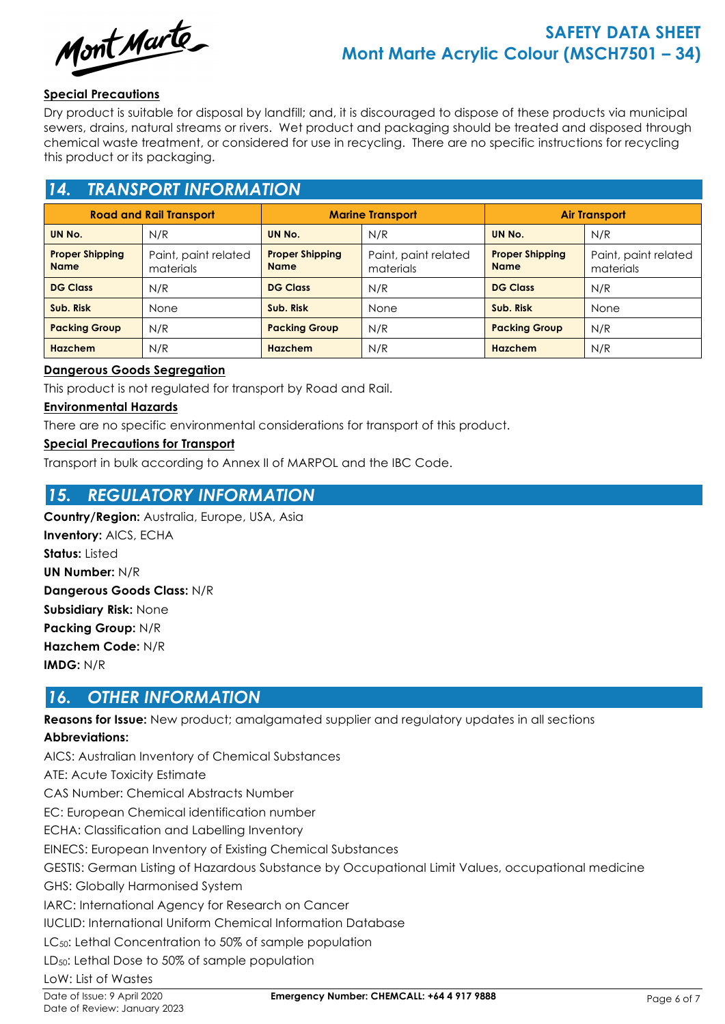

### **Special Precautions**

Dry product is suitable for disposal by landfill; and, it is discouraged to dispose of these products via municipal sewers, drains, natural streams or rivers. Wet product and packaging should be treated and disposed through chemical waste treatment, or considered for use in recycling. There are no specific instructions for recycling this product or its packaging.

# *14. TRANSPORT INFORMATION*

| <b>Road and Rail Transport</b>        |                                   | <b>Marine Transport</b>               |                                   | <b>Air Transport</b>                  |                                   |
|---------------------------------------|-----------------------------------|---------------------------------------|-----------------------------------|---------------------------------------|-----------------------------------|
| UN No.                                | N/R                               | UN No.                                | N/R                               | UN No.                                | N/R                               |
| <b>Proper Shipping</b><br><b>Name</b> | Paint, paint related<br>materials | <b>Proper Shipping</b><br><b>Name</b> | Paint, paint related<br>materials | <b>Proper Shipping</b><br><b>Name</b> | Paint, paint related<br>materials |
| <b>DG Class</b>                       | N/R                               | <b>DG Class</b><br>N/R                |                                   | <b>DG Class</b>                       | N/R                               |
| Sub. Risk                             | <b>None</b>                       | Sub. Risk                             | None                              | Sub. Risk                             | None                              |
| <b>Packing Group</b>                  | N/R                               | <b>Packing Group</b>                  | N/R                               | <b>Packing Group</b>                  | N/R                               |
| Hazchem                               | N/R                               | Hazchem                               | N/R                               | Hazchem                               | N/R                               |

### **Dangerous Goods Segregation**

This product is not regulated for transport by Road and Rail.

### **Environmental Hazards**

There are no specific environmental considerations for transport of this product.

### **Special Precautions for Transport**

Transport in bulk according to Annex II of MARPOL and the IBC Code.

# *15. REGULATORY INFORMATION*

**Country/Region:** Australia, Europe, USA, Asia **Inventory:** AICS, ECHA **Status:** Listed **UN Number:** N/R **Dangerous Goods Class:** N/R **Subsidiary Risk:** None **Packing Group:** N/R **Hazchem Code:** N/R **IMDG:** N/R

# *16. OTHER INFORMATION*

**Reasons for Issue:** New product; amalgamated supplier and regulatory updates in all sections

### **Abbreviations:**

AICS: Australian Inventory of Chemical Substances ATE: Acute Toxicity Estimate CAS Number: Chemical Abstracts Number EC: European Chemical identification number ECHA: Classification and Labelling Inventory EINECS: European Inventory of Existing Chemical Substances GESTIS: German Listing of Hazardous Substance by Occupational Limit Values, occupational medicine GHS: Globally Harmonised System IARC: International Agency for Research on Cancer IUCLID: International Uniform Chemical Information Database LC<sub>50</sub>: Lethal Concentration to 50% of sample population LD<sub>50</sub>: Lethal Dose to 50% of sample population LoW: List of Wastes